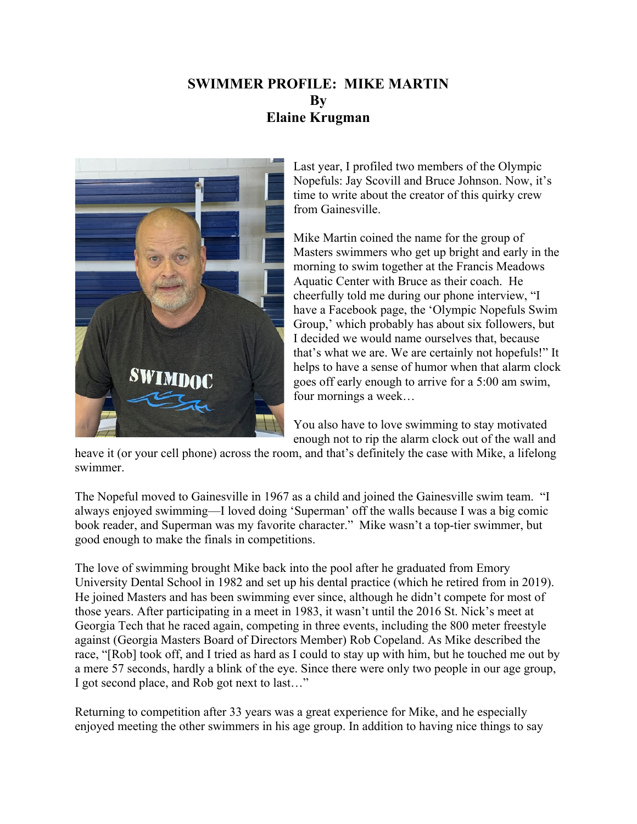## **SWIMMER PROFILE: MIKE MARTIN By Elaine Krugman**



Last year, I profiled two members of the Olympic Nopefuls: Jay Scovill and Bruce Johnson. Now, it's time to write about the creator of this quirky crew from Gainesville.

Mike Martin coined the name for the group of Masters swimmers who get up bright and early in the morning to swim together at the Francis Meadows Aquatic Center with Bruce as their coach. He cheerfully told me during our phone interview, "I have a Facebook page, the 'Olympic Nopefuls Swim Group,' which probably has about six followers, but I decided we would name ourselves that, because that's what we are. We are certainly not hopefuls!" It helps to have a sense of humor when that alarm clock goes off early enough to arrive for a 5:00 am swim, four mornings a week…

You also have to love swimming to stay motivated enough not to rip the alarm clock out of the wall and

heave it (or your cell phone) across the room, and that's definitely the case with Mike, a lifelong swimmer.

The Nopeful moved to Gainesville in 1967 as a child and joined the Gainesville swim team. "I always enjoyed swimming—I loved doing 'Superman' off the walls because I was a big comic book reader, and Superman was my favorite character." Mike wasn't a top-tier swimmer, but good enough to make the finals in competitions.

The love of swimming brought Mike back into the pool after he graduated from Emory University Dental School in 1982 and set up his dental practice (which he retired from in 2019). He joined Masters and has been swimming ever since, although he didn't compete for most of those years. After participating in a meet in 1983, it wasn't until the 2016 St. Nick's meet at Georgia Tech that he raced again, competing in three events, including the 800 meter freestyle against (Georgia Masters Board of Directors Member) Rob Copeland. As Mike described the race, "[Rob] took off, and I tried as hard as I could to stay up with him, but he touched me out by a mere 57 seconds, hardly a blink of the eye. Since there were only two people in our age group, I got second place, and Rob got next to last…"

Returning to competition after 33 years was a great experience for Mike, and he especially enjoyed meeting the other swimmers in his age group. In addition to having nice things to say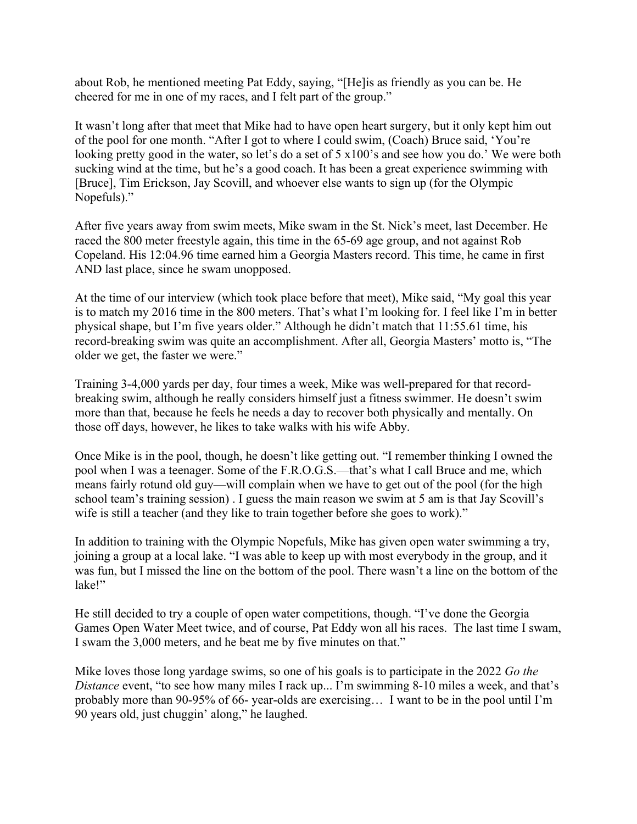about Rob, he mentioned meeting Pat Eddy, saying, "[He]is as friendly as you can be. He cheered for me in one of my races, and I felt part of the group."

It wasn't long after that meet that Mike had to have open heart surgery, but it only kept him out of the pool for one month. "After I got to where I could swim, (Coach) Bruce said, 'You're looking pretty good in the water, so let's do a set of 5 x100's and see how you do.' We were both sucking wind at the time, but he's a good coach. It has been a great experience swimming with [Bruce], Tim Erickson, Jay Scovill, and whoever else wants to sign up (for the Olympic Nopefuls)."

After five years away from swim meets, Mike swam in the St. Nick's meet, last December. He raced the 800 meter freestyle again, this time in the 65-69 age group, and not against Rob Copeland. His 12:04.96 time earned him a Georgia Masters record. This time, he came in first AND last place, since he swam unopposed.

At the time of our interview (which took place before that meet), Mike said, "My goal this year is to match my 2016 time in the 800 meters. That's what I'm looking for. I feel like I'm in better physical shape, but I'm five years older." Although he didn't match that 11:55.61 time, his record-breaking swim was quite an accomplishment. After all, Georgia Masters' motto is, "The older we get, the faster we were."

Training 3-4,000 yards per day, four times a week, Mike was well-prepared for that recordbreaking swim, although he really considers himself just a fitness swimmer. He doesn't swim more than that, because he feels he needs a day to recover both physically and mentally. On those off days, however, he likes to take walks with his wife Abby.

Once Mike is in the pool, though, he doesn't like getting out. "I remember thinking I owned the pool when I was a teenager. Some of the F.R.O.G.S.—that's what I call Bruce and me, which means fairly rotund old guy—will complain when we have to get out of the pool (for the high school team's training session) . I guess the main reason we swim at 5 am is that Jay Scovill's wife is still a teacher (and they like to train together before she goes to work)."

In addition to training with the Olympic Nopefuls, Mike has given open water swimming a try, joining a group at a local lake. "I was able to keep up with most everybody in the group, and it was fun, but I missed the line on the bottom of the pool. There wasn't a line on the bottom of the lake!"

He still decided to try a couple of open water competitions, though. "I've done the Georgia Games Open Water Meet twice, and of course, Pat Eddy won all his races. The last time I swam, I swam the 3,000 meters, and he beat me by five minutes on that."

Mike loves those long yardage swims, so one of his goals is to participate in the 2022 *Go the Distance* event, "to see how many miles I rack up... I'm swimming 8-10 miles a week, and that's probably more than 90-95% of 66- year-olds are exercising… I want to be in the pool until I'm 90 years old, just chuggin' along," he laughed.